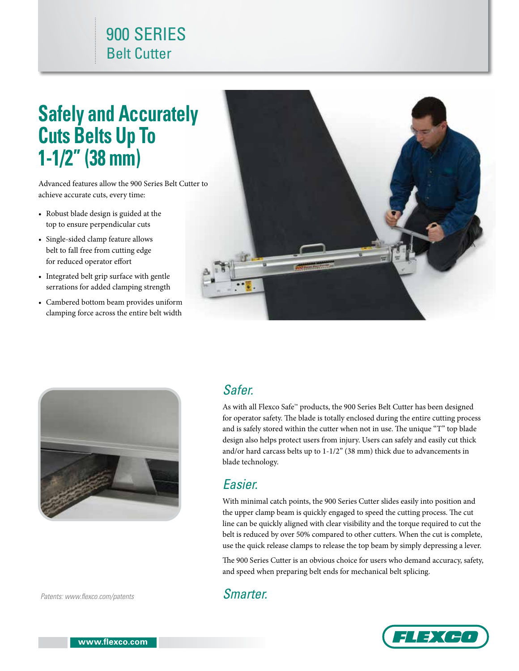## 900 SERIES Belt Cutter

# **Safely and Accurately Cuts Belts Up To 1-1/2" (38 mm)**

Advanced features allow the 900 Series Belt Cutter to achieve accurate cuts, every time:

- Robust blade design is guided at the top to ensure perpendicular cuts
- Single-sided clamp feature allows belt to fall free from cutting edge for reduced operator effort
- Integrated belt grip surface with gentle serrations for added clamping strength
- Cambered bottom beam provides uniform clamping force across the entire belt width





#### *Patents: www.flexco.com/patents*

#### *Safer.*

As with all Flexco Safe™ products, the 900 Series Belt Cutter has been designed for operator safety. The blade is totally enclosed during the entire cutting process and is safely stored within the cutter when not in use. The unique "T" top blade design also helps protect users from injury. Users can safely and easily cut thick and/or hard carcass belts up to 1-1/2" (38 mm) thick due to advancements in blade technology.

#### *Easier.*

With minimal catch points, the 900 Series Cutter slides easily into position and the upper clamp beam is quickly engaged to speed the cutting process. The cut line can be quickly aligned with clear visibility and the torque required to cut the belt is reduced by over 50% compared to other cutters. When the cut is complete, use the quick release clamps to release the top beam by simply depressing a lever.

The 900 Series Cutter is an obvious choice for users who demand accuracy, safety, and speed when preparing belt ends for mechanical belt splicing.

#### *Smarter.*